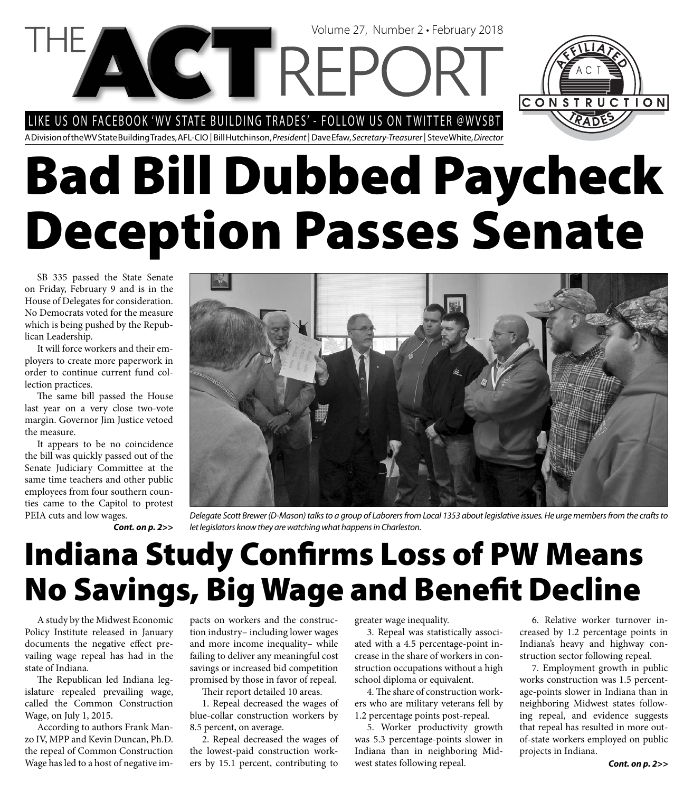LIKE US ON FACEBOOK 'WV STATE BUILDING TRADES' - FOLLOW US ON TWITTER @WVSBT



A Division of the WV State Building Trades, AFL-CIO | Bill Hutchinson, President | Dave Efaw, Secretary-Treasurer | Steve White, Director

# **Bad Bill Dubbed Paycheck Deception Passes Senate**

SB 335 passed the State Senate on Friday, February 9 and is in the House of Delegates for consideration. No Democrats voted for the measure which is being pushed by the Republican Leadership.

It will force workers and their employers to create more paperwork in order to continue current fund collection practices.

The same bill passed the House last year on a very close two-vote margin. Governor Jim Justice vetoed the measure.

It appears to be no coincidence the bill was quickly passed out of the Senate Judiciary Committee at the same time teachers and other public employees from four southern counties came to the Capitol to protest PEIA cuts and low wages.

*Cont. on p. 2>>*

Delegate Scott Brewer (D-Mason) talks to a group of Laborers from Local 1353 about legislative issues. He urge members from the crafts to let legislators know they are watching what happens in Charleston.

# **Indiana Study Confirms Loss of PW Means No Savings, Big Wage and Benefit Decline**

A study by the Midwest Economic Policy Institute released in January documents the negative effect prevailing wage repeal has had in the state of Indiana.

The Republican led Indiana legislature repealed prevailing wage, called the Common Construction Wage, on July 1, 2015.

According to authors Frank Manzo IV, MPP and Kevin Duncan, Ph.D. the repeal of Common Construction Wage has led to a host of negative impacts on workers and the construction industry– including lower wages and more income inequality– while failing to deliver any meaningful cost savings or increased bid competition promised by those in favor of repeal.

Their report detailed 10 areas.

1. Repeal decreased the wages of blue-collar construction workers by 8.5 percent, on average.

2. Repeal decreased the wages of the lowest-paid construction workers by 15.1 percent, contributing to greater wage inequality.

3. Repeal was statistically associated with a 4.5 percentage-point increase in the share of workers in construction occupations without a high school diploma or equivalent.

4. The share of construction workers who are military veterans fell by 1.2 percentage points post-repeal.

5. Worker productivity growth was 5.3 percentage-points slower in Indiana than in neighboring Midwest states following repeal.

6. Relative worker turnover increased by 1.2 percentage points in Indiana's heavy and highway construction sector following repeal.

7. Employment growth in public works construction was 1.5 percentage-points slower in Indiana than in neighboring Midwest states following repeal, and evidence suggests that repeal has resulted in more outof-state workers employed on public projects in Indiana.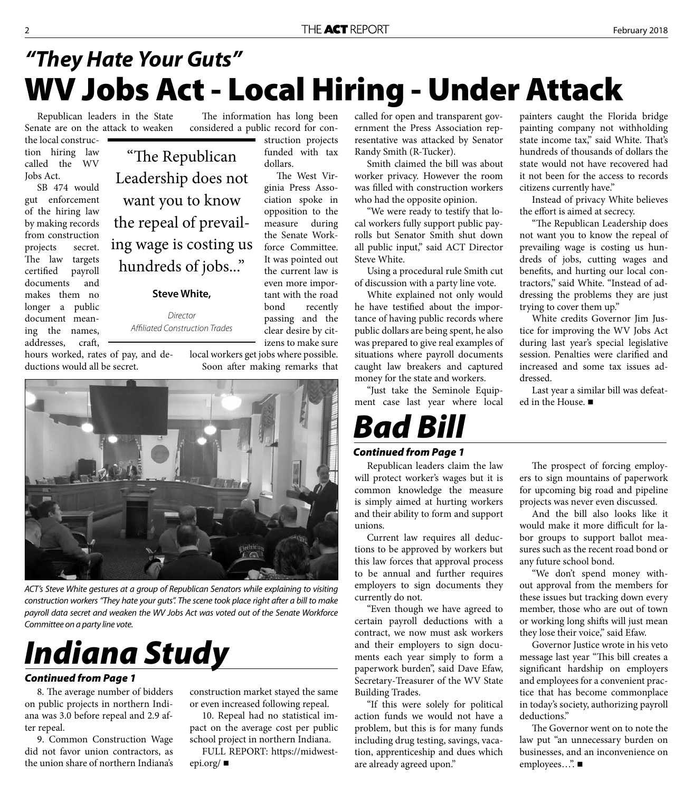### **WV Jobs Act - Local Hiring - Under Attack** *"They Hate Your Guts"*

struction projects funded with tax

The West Virginia Press Association spoke in opposition to the measure during the Senate Workforce Committee. It was pointed out the current law is even more important with the road bond recently passing and the clear desire by cit-

dollars.

Senate are on the attack to weaken the local construction hiring law called the WV Jobs Act.

SB 474 would gut enforcement of the hiring law by making records from construction projects secret. The law targets certified payroll documents and makes them no longer a public document meaning the names, addresses, craft,

Republican leaders in the State The information has long been considered a public record for con-

> "The Republican Leadership does not want you to know the repeal of prevailing wage is costing us hundreds of jobs..."

#### **Steve White,**

Director Affiliated Construction Trades

hours worked, rates of pay, and deductions would all be secret.

izens to make sure local workers get jobs where possible. Soon after making remarks that



ACT's Steve White gestures at a group of Republican Senators while explaining to visiting construction workers "They hate your guts". The scene took place right after a bill to make payroll data secret and weaken the WV Jobs Act was voted out of the Senate Workforce Committee on a party line vote.

# *Indiana Study*

#### *Continued from Page 1*

8. The average number of bidders on public projects in northern Indiana was 3.0 before repeal and 2.9 after repeal.

9. Common Construction Wage did not favor union contractors, as the union share of northern Indiana's construction market stayed the same or even increased following repeal.

10. Repeal had no statistical impact on the average cost per public school project in northern Indiana.

FULL REPORT: https://midwestepi.org/

called for open and transparent government the Press Association representative was attacked by Senator Randy Smith (R-Tucker).

Smith claimed the bill was about worker privacy. However the room was filled with construction workers who had the opposite opinion.

"We were ready to testify that local workers fully support public payrolls but Senator Smith shut down all public input," said ACT Director Steve White.

Using a procedural rule Smith cut of discussion with a party line vote.

White explained not only would he have testified about the importance of having public records where public dollars are being spent, he also was prepared to give real examples of situations where payroll documents caught law breakers and captured money for the state and workers.

"Just take the Seminole Equipment case last year where local

### *Continued from Page 1*

*Bad Bill*

Republican leaders claim the law will protect worker's wages but it is common knowledge the measure is simply aimed at hurting workers and their ability to form and support unions.

Current law requires all deductions to be approved by workers but this law forces that approval process to be annual and further requires employers to sign documents they currently do not.

"Even though we have agreed to certain payroll deductions with a contract, we now must ask workers and their employers to sign documents each year simply to form a paperwork burden", said Dave Efaw, Secretary-Treasurer of the WV State Building Trades.

"If this were solely for political action funds we would not have a problem, but this is for many funds including drug testing, savings, vacation, apprenticeship and dues which are already agreed upon."

painters caught the Florida bridge painting company not withholding state income tax," said White. That's hundreds of thousands of dollars the state would not have recovered had it not been for the access to records citizens currently have."

Instead of privacy White believes the effort is aimed at secrecy.

"The Republican Leadership does not want you to know the repeal of prevailing wage is costing us hundreds of jobs, cutting wages and benefits, and hurting our local contractors," said White. "Instead of addressing the problems they are just trying to cover them up."

White credits Governor Jim Justice for improving the WV Jobs Act during last year's special legislative session. Penalties were clarified and increased and some tax issues addressed.

Last year a similar bill was defeated in the House. ■

The prospect of forcing employers to sign mountains of paperwork for upcoming big road and pipeline projects was never even discussed.

And the bill also looks like it would make it more difficult for labor groups to support ballot measures such as the recent road bond or any future school bond.

"We don't spend money without approval from the members for these issues but tracking down every member, those who are out of town or working long shifts will just mean they lose their voice," said Efaw.

Governor Justice wrote in his veto message last year "This bill creates a significant hardship on employers and employees for a convenient practice that has become commonplace in today's society, authorizing payroll deductions."

The Governor went on to note the law put "an unnecessary burden on businesses, and an inconvenience on employees...". ■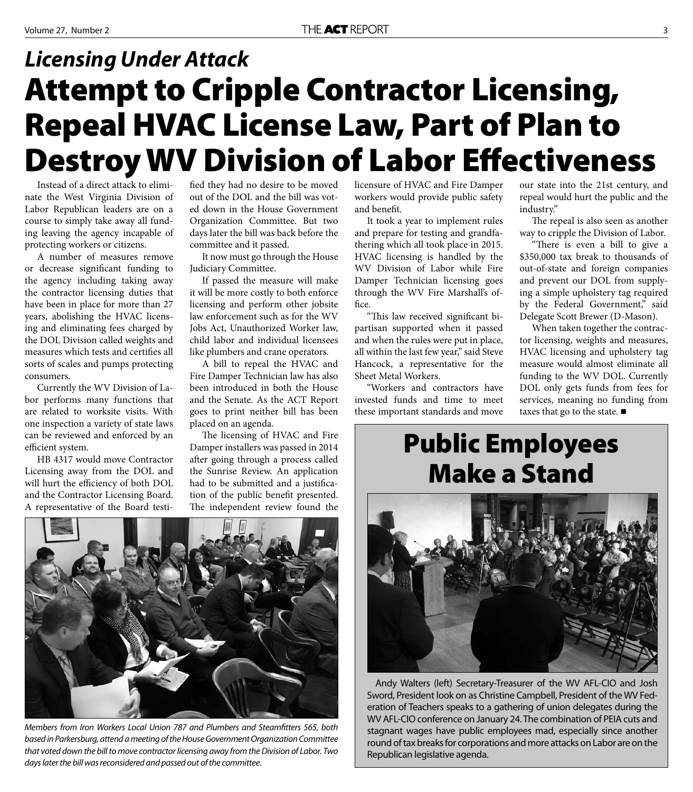## **Attempt to Cripple Contractor Licensing, Repeal HVAC License Law, Part of Plan to Destroy WV Division of Labor Effectiveness** *Licensing Under Attack*

Instead of a direct attack to eliminate the West Virginia Division of Labor Republican leaders are on a course to simply take away all funding leaving the agency incapable of protecting workers or citizens.

A number of measures remove or decrease significant funding to the agency including taking away the contractor licensing duties that have been in place for more than 27 years, abolishing the HVAC licensing and eliminating fees charged by the DOL Division called weights and measures which tests and certifies all sorts of scales and pumps protecting consumers.

Currently the WV Division of Labor performs many functions that are related to worksite visits. With one inspection a variety of state laws can be reviewed and enforced by an efficient system.

HB 4317 would move Contractor Licensing away from the DOL and will hurt the efficiency of both DOL and the Contractor Licensing Board. A representative of the Board testified they had no desire to be moved out of the DOL and the bill was voted down in the House Government Organization Committee. But two days later the bill was back before the committee and it passed.

It now must go through the House Judiciary Committee.

If passed the measure will make it will be more costly to both enforce licensing and perform other jobsite law enforcement such as for the WV Jobs Act, Unauthorized Worker law, child labor and individual licensees like plumbers and crane operators.

A bill to repeal the HVAC and Fire Damper Technician law has also been introduced in both the House and the Senate. As the ACT Report goes to print neither bill has been placed on an agenda.

The licensing of HVAC and Fire Damper installers was passed in 2014 after going through a process called the Sunrise Review. An application had to be submitted and a justification of the public benefit presented. The independent review found the



Members from Iron Workers Local Union 787 and Plumbers and Steamfitters 565, both based in Parkersburg, attend a meeting of the House Government Organization Committee that voted down the bill to move contractor licensing away from the Division of Labor. Two days later the bill was reconsidered and passed out of the committee.

licensure of HVAC and Fire Damper workers would provide public safety and benefit.

It took a year to implement rules and prepare for testing and grandfathering which all took place in 2015. HVAC licensing is handled by the WV Division of Labor while Fire Damper Technician licensing goes through the WV Fire Marshall's office.

"This law received significant bipartisan supported when it passed and when the rules were put in place, all within the last few year," said Steve Hancock, a representative for the Sheet Metal Workers.

"Workers and contractors have invested funds and time to meet these important standards and move

our state into the 21st century, and repeal would hurt the public and the industry."

The repeal is also seen as another way to cripple the Division of Labor.

"There is even a bill to give a \$350,000 tax break to thousands of out-of-state and foreign companies and prevent our DOL from supplying a simple upholstery tag required by the Federal Government," said Delegate Scott Brewer (D-Mason).

When taken together the contractor licensing, weights and measures, HVAC licensing and upholstery tag measure would almost eliminate all funding to the WV DOL. Currently DOL only gets funds from fees for services, meaning no funding from taxes that go to the state. ■

### **Public Employees Make a Stand**



Andy Walters (left) Secretary-Treasurer of the WV AFL-CIO and Josh Sword, President look on as Christine Campbell, President of the WV Federation of Teachers speaks to a gathering of union delegates during the WV AFL-CIO conference on January 24. The combination of PEIA cuts and stagnant wages have public employees mad, especially since another round of tax breaks for corporations and more attacks on Labor are on the Republican legislative agenda.